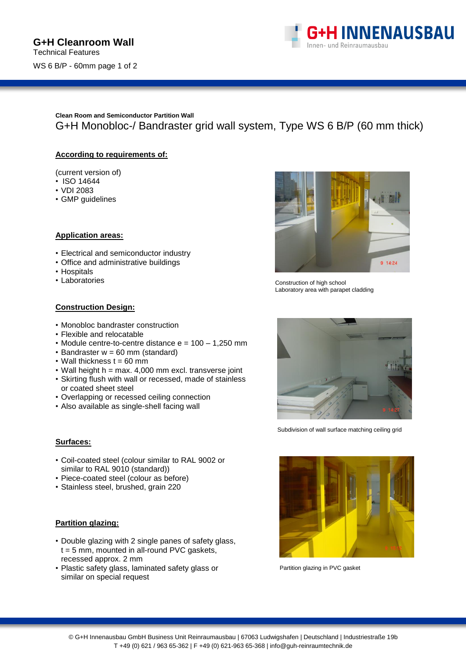

**Clean Room and Semiconductor Partition Wall** G+H Monobloc-/ Bandraster grid wall system, Type WS 6 B/P (60 mm thick)

## **According to requirements of:**

(current version of)

- ISO 14644
- VDI 2083
- GMP guidelines

## **Application areas:**

- Electrical and semiconductor industry
- Office and administrative buildings
- Hospitals
- Laboratories

# **Construction Design:**

- Monobloc bandraster construction
- Flexible and relocatable
- Module centre-to-centre distance e = 100 1,250 mm
- $\cdot$  Bandraster  $w = 60$  mm (standard)
- $\cdot$  Wall thickness t = 60 mm
- Wall height  $h = max. 4,000$  mm excl. transverse joint
- Skirting flush with wall or recessed, made of stainless or coated sheet steel
- Overlapping or recessed ceiling connection
- Also available as single-shell facing wall

#### **Surfaces:**

- Coil-coated steel (colour similar to RAL 9002 or similar to RAL 9010 (standard))
- Piece-coated steel (colour as before)
- Stainless steel, brushed, grain 220

#### **Partition glazing:**

- Double glazing with 2 single panes of safety glass,  $t = 5$  mm, mounted in all-round PVC gaskets, recessed approx. 2 mm
- Plastic safety glass, laminated safety glass or similar on special request



Construction of high school Laboratory area with parapet cladding



Subdivision of wall surface matching ceiling grid



Partition glazing in PVC gasket